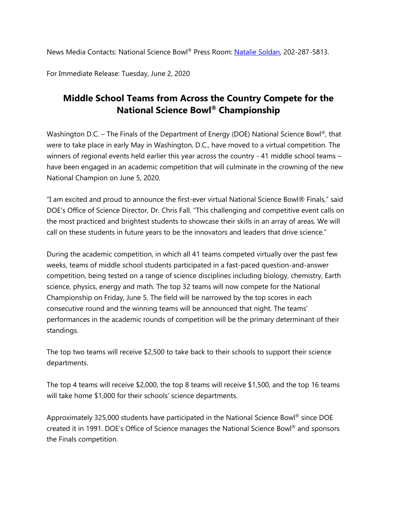News Media Contacts: National Science Bowl® Press Room: [Natalie Soldan,](mailto:Natalie.Soldan@science.doe.gov) 202-287-5813.

For Immediate Release: Tuesday, June 2, 2020

# **Middle School Teams from Across the Country Compete for the National Science Bowl® Championship**

Washington D.C. – The Finals of the Department of Energy (DOE) National Science Bowl<sup>®</sup>, that were to take place in early May in Washington, D.C., have moved to a virtual competition. The winners of regional events held earlier this year across the country - 41 middle school teams – have been engaged in an academic competition that will culminate in the crowning of the new National Champion on June 5, 2020.

"I am excited and proud to announce the first-ever virtual National Science Bowl® Finals," said DOE's Office of Science Director, Dr. Chris Fall. "This challenging and competitive event calls on the most practiced and brightest students to showcase their skills in an array of areas. We will call on these students in future years to be the innovators and leaders that drive science."

During the academic competition, in which all 41 teams competed virtually over the past few weeks, teams of middle school students participated in a fast-paced question-and-answer competition, being tested on a range of science disciplines including biology, chemistry, Earth science, physics, energy and math. The top 32 teams will now compete for the National Championship on Friday, June 5. The field will be narrowed by the top scores in each consecutive round and the winning teams will be announced that night. The teams' performances in the academic rounds of competition will be the primary determinant of their standings.

The top two teams will receive \$2,500 to take back to their schools to support their science departments.

The top 4 teams will receive \$2,000, the top 8 teams will receive \$1,500, and the top 16 teams will take home \$1,000 for their schools' science departments.

Approximately 325,000 students have participated in the National Science Bowl® since DOE created it in 1991. DOE's Office of Science manages the National Science Bowl® and sponsors the Finals competition.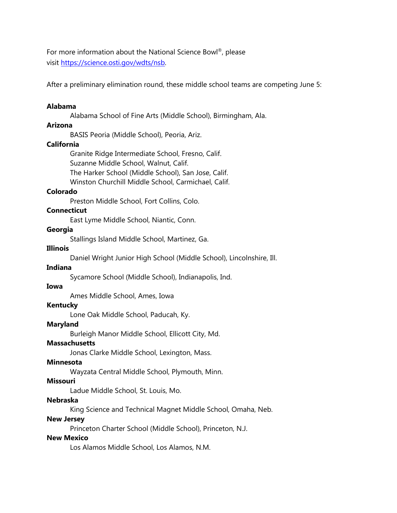For more information about the National Science Bowl®, please visit [https://science.osti.gov/wdts/nsb.](https://science.osti.gov/wdts/nsb)

After a preliminary elimination round, these middle school teams are competing June 5:

### **Alabama**

Alabama School of Fine Arts (Middle School), Birmingham, Ala.

# **Arizona**

BASIS Peoria (Middle School), Peoria, Ariz.

### **California**

Granite Ridge Intermediate School, Fresno, Calif. Suzanne Middle School, Walnut, Calif. The Harker School (Middle School), San Jose, Calif. Winston Churchill Middle School, Carmichael, Calif.

#### **Colorado**

Preston Middle School, Fort Collins, Colo.

### **Connecticut**

East Lyme Middle School, Niantic, Conn.

#### **Georgia**

Stallings Island Middle School, Martinez, Ga.

### **Illinois**

Daniel Wright Junior High School (Middle School), Lincolnshire, Ill.

### **Indiana**

Sycamore School (Middle School), Indianapolis, Ind.

### **Iowa**

Ames Middle School, Ames, Iowa

#### **Kentucky**

Lone Oak Middle School, Paducah, Ky.

#### **Maryland**

Burleigh Manor Middle School, Ellicott City, Md.

#### **Massachusetts**

Jonas Clarke Middle School, Lexington, Mass.

#### **Minnesota**

Wayzata Central Middle School, Plymouth, Minn.

### **Missouri**

Ladue Middle School, St. Louis, Mo.

### **Nebraska**

King Science and Technical Magnet Middle School, Omaha, Neb.

#### **New Jersey**

Princeton Charter School (Middle School), Princeton, N.J.

### **New Mexico**

Los Alamos Middle School, Los Alamos, N.M.